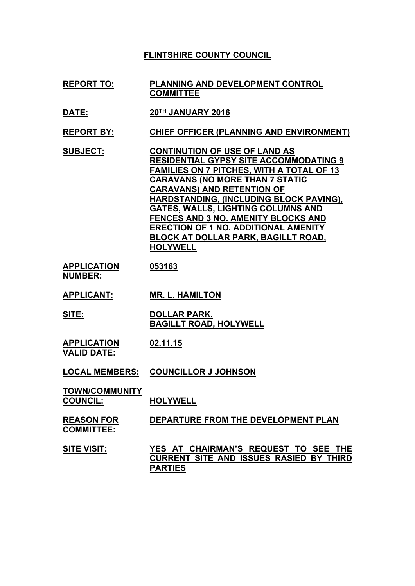## **FLINTSHIRE COUNTY COUNCIL**

- **REPORT TO: PLANNING AND DEVELOPMENT CONTROL COMMITTEE**
- **DATE: 20TH JANUARY 2016**
- **REPORT BY: CHIEF OFFICER (PLANNING AND ENVIRONMENT)**
- **SUBJECT: CONTINUTION OF USE OF LAND AS RESIDENTIAL GYPSY SITE ACCOMMODATING 9 FAMILIES ON 7 PITCHES, WITH A TOTAL OF 13 CARAVANS (NO MORE THAN 7 STATIC CARAVANS) AND RETENTION OF HARDSTANDING, (INCLUDING BLOCK PAVING), GATES, WALLS, LIGHTING COLUMNS AND FENCES AND 3 NO. AMENITY BLOCKS AND ERECTION OF 1 NO. ADDITIONAL AMENITY BLOCK AT DOLLAR PARK, BAGILLT ROAD, HOLYWELL**
- **APPLICATION NUMBER: 053163**
- **APPLICANT: MR. L. HAMILTON**
- **SITE: DOLLAR PARK, BAGILLT ROAD, HOLYWELL**
- **APPLICATION VALID DATE: 02.11.15**

#### **LOCAL MEMBERS: COUNCILLOR J JOHNSON**

| <b>TOWN/COMMUNITY</b> |                 |
|-----------------------|-----------------|
| <b>COUNCIL:</b>       | <b>HOLYWELL</b> |

#### **REASON FOR COMMITTEE: DEPARTURE FROM THE DEVELOPMENT PLAN**

**SITE VISIT: YES AT CHAIRMAN'S REQUEST TO SEE THE CURRENT SITE AND ISSUES RASIED BY THIRD PARTIES**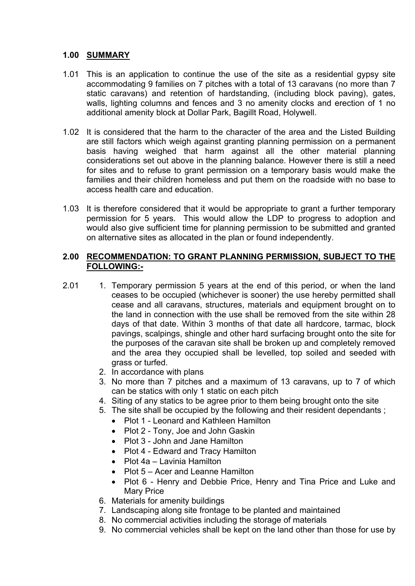# **1.00 SUMMARY**

- 1.01 This is an application to continue the use of the site as a residential gypsy site accommodating 9 families on 7 pitches with a total of 13 caravans (no more than 7 static caravans) and retention of hardstanding, (including block paving), gates, walls, lighting columns and fences and 3 no amenity clocks and erection of 1 no additional amenity block at Dollar Park, Bagillt Road, Holywell.
- 1.02 It is considered that the harm to the character of the area and the Listed Building are still factors which weigh against granting planning permission on a permanent basis having weighed that harm against all the other material planning considerations set out above in the planning balance. However there is still a need for sites and to refuse to grant permission on a temporary basis would make the families and their children homeless and put them on the roadside with no base to access health care and education.
- 1.03 It is therefore considered that it would be appropriate to grant a further temporary permission for 5 years. This would allow the LDP to progress to adoption and would also give sufficient time for planning permission to be submitted and granted on alternative sites as allocated in the plan or found independently.

## **2.00 RECOMMENDATION: TO GRANT PLANNING PERMISSION, SUBJECT TO THE FOLLOWING:-**

- 2.01 1. Temporary permission 5 years at the end of this period, or when the land ceases to be occupied (whichever is sooner) the use hereby permitted shall cease and all caravans, structures, materials and equipment brought on to the land in connection with the use shall be removed from the site within 28 days of that date. Within 3 months of that date all hardcore, tarmac, block pavings, scalpings, shingle and other hard surfacing brought onto the site for the purposes of the caravan site shall be broken up and completely removed and the area they occupied shall be levelled, top soiled and seeded with grass or turfed.
	- 2. In accordance with plans
	- 3. No more than 7 pitches and a maximum of 13 caravans, up to 7 of which can be statics with only 1 static on each pitch
	- 4. Siting of any statics to be agree prior to them being brought onto the site
	- 5. The site shall be occupied by the following and their resident dependants ;
		- Plot 1 Leonard and Kathleen Hamilton
		- Plot 2 Tony, Joe and John Gaskin
		- Plot 3 John and Jane Hamilton
		- Plot 4 Edward and Tracy Hamilton
		- Plot 4a Lavinia Hamilton
		- Plot 5 Acer and Leanne Hamilton
		- Plot 6 Henry and Debbie Price, Henry and Tina Price and Luke and Mary Price
	- 6. Materials for amenity buildings
	- 7. Landscaping along site frontage to be planted and maintained
	- 8. No commercial activities including the storage of materials
	- 9. No commercial vehicles shall be kept on the land other than those for use by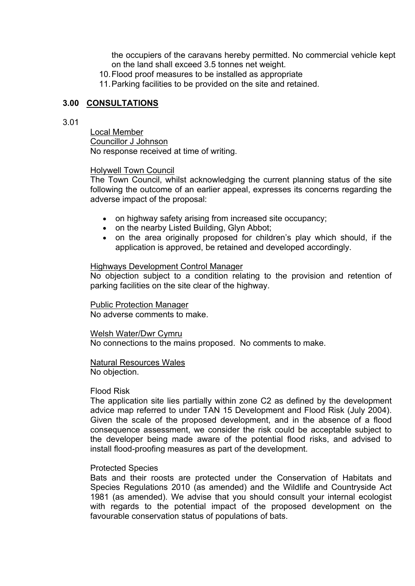the occupiers of the caravans hereby permitted. No commercial vehicle kept on the land shall exceed 3.5 tonnes net weight.

10.Flood proof measures to be installed as appropriate

11.Parking facilities to be provided on the site and retained.

## **3.00 CONSULTATIONS**

## 3.01

Local Member Councillor J Johnson No response received at time of writing.

## Holywell Town Council

The Town Council, whilst acknowledging the current planning status of the site following the outcome of an earlier appeal, expresses its concerns regarding the adverse impact of the proposal:

- on highway safety arising from increased site occupancy;
- on the nearby Listed Building, Glyn Abbot:
- on the area originally proposed for children's play which should, if the application is approved, be retained and developed accordingly.

## Highways Development Control Manager

No objection subject to a condition relating to the provision and retention of parking facilities on the site clear of the highway.

Public Protection Manager No adverse comments to make.

Welsh Water/Dwr Cymru No connections to the mains proposed. No comments to make.

Natural Resources Wales No objection.

#### Flood Risk

The application site lies partially within zone C2 as defined by the development advice map referred to under TAN 15 Development and Flood Risk (July 2004). Given the scale of the proposed development, and in the absence of a flood consequence assessment, we consider the risk could be acceptable subject to the developer being made aware of the potential flood risks, and advised to install flood-proofing measures as part of the development.

#### Protected Species

Bats and their roosts are protected under the Conservation of Habitats and Species Regulations 2010 (as amended) and the Wildlife and Countryside Act 1981 (as amended). We advise that you should consult your internal ecologist with regards to the potential impact of the proposed development on the favourable conservation status of populations of bats.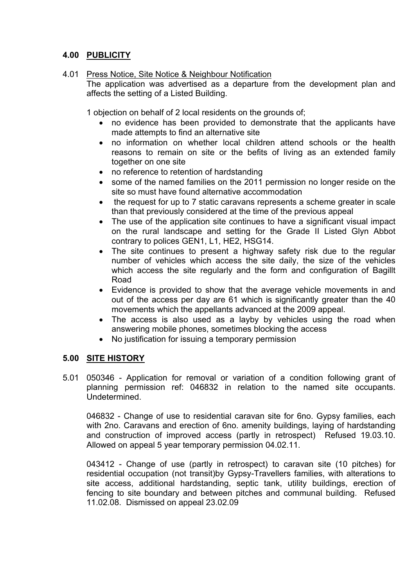# **4.00 PUBLICITY**

# 4.01 Press Notice, Site Notice & Neighbour Notification

The application was advertised as a departure from the development plan and affects the setting of a Listed Building.

1 objection on behalf of 2 local residents on the grounds of;

- no evidence has been provided to demonstrate that the applicants have made attempts to find an alternative site
- no information on whether local children attend schools or the health reasons to remain on site or the befits of living as an extended family together on one site
- no reference to retention of hardstanding
- some of the named families on the 2011 permission no longer reside on the site so must have found alternative accommodation
- the request for up to 7 static caravans represents a scheme greater in scale than that previously considered at the time of the previous appeal
- The use of the application site continues to have a significant visual impact on the rural landscape and setting for the Grade II Listed Glyn Abbot contrary to polices GEN1, L1, HE2, HSG14.
- The site continues to present a highway safety risk due to the regular number of vehicles which access the site daily, the size of the vehicles which access the site regularly and the form and configuration of Bagillt Road
- Evidence is provided to show that the average vehicle movements in and out of the access per day are 61 which is significantly greater than the 40 movements which the appellants advanced at the 2009 appeal.
- The access is also used as a layby by vehicles using the road when answering mobile phones, sometimes blocking the access
- No justification for issuing a temporary permission

# **5.00 SITE HISTORY**

5.01 050346 - Application for removal or variation of a condition following grant of planning permission ref: 046832 in relation to the named site occupants. Undetermined.

046832 - Change of use to residential caravan site for 6no. Gypsy families, each with 2no. Caravans and erection of 6no. amenity buildings, laying of hardstanding and construction of improved access (partly in retrospect) Refused 19.03.10. Allowed on appeal 5 year temporary permission 04.02.11.

043412 - Change of use (partly in retrospect) to caravan site (10 pitches) for residential occupation (not transit)by Gypsy-Travellers families, with alterations to site access, additional hardstanding, septic tank, utility buildings, erection of fencing to site boundary and between pitches and communal building. Refused 11.02.08. Dismissed on appeal 23.02.09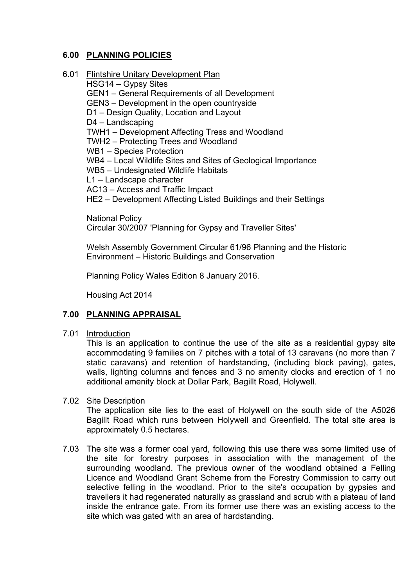# **6.00 PLANNING POLICIES**

6.01 Flintshire Unitary Development Plan

HSG14 – Gypsy Sites GEN1 – General Requirements of all Development GEN3 – Development in the open countryside D1 – Design Quality, Location and Layout D4 – Landscaping TWH1 – Development Affecting Tress and Woodland TWH2 – Protecting Trees and Woodland WB1 – Species Protection WB4 – Local Wildlife Sites and Sites of Geological Importance WB5 – Undesignated Wildlife Habitats L1 – Landscape character AC13 – Access and Traffic Impact HE2 – Development Affecting Listed Buildings and their Settings

National Policy

Circular 30/2007 'Planning for Gypsy and Traveller Sites'

Welsh Assembly Government Circular 61/96 Planning and the Historic Environment – Historic Buildings and Conservation

Planning Policy Wales Edition 8 January 2016.

Housing Act 2014

# **7.00 PLANNING APPRAISAL**

7.01 Introduction

This is an application to continue the use of the site as a residential gypsy site accommodating 9 families on 7 pitches with a total of 13 caravans (no more than 7 static caravans) and retention of hardstanding, (including block paving), gates, walls, lighting columns and fences and 3 no amenity clocks and erection of 1 no additional amenity block at Dollar Park, Bagillt Road, Holywell.

## 7.02 Site Description

The application site lies to the east of Holywell on the south side of the A5026 Bagillt Road which runs between Holywell and Greenfield. The total site area is approximately 0.5 hectares.

7.03 The site was a former coal yard, following this use there was some limited use of the site for forestry purposes in association with the management of the surrounding woodland. The previous owner of the woodland obtained a Felling Licence and Woodland Grant Scheme from the Forestry Commission to carry out selective felling in the woodland. Prior to the site's occupation by gypsies and travellers it had regenerated naturally as grassland and scrub with a plateau of land inside the entrance gate. From its former use there was an existing access to the site which was gated with an area of hardstanding.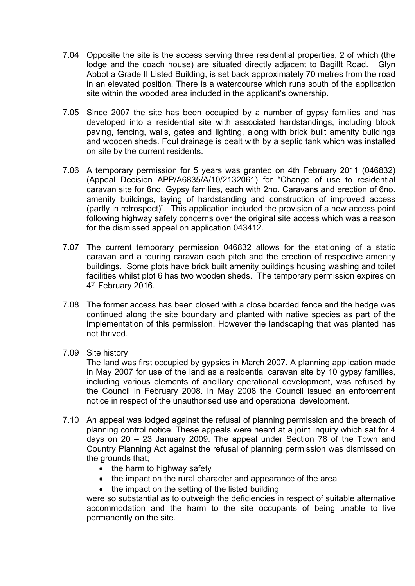- 7.04 Opposite the site is the access serving three residential properties, 2 of which (the lodge and the coach house) are situated directly adjacent to Bagillt Road. Glyn Abbot a Grade II Listed Building, is set back approximately 70 metres from the road in an elevated position. There is a watercourse which runs south of the application site within the wooded area included in the applicant's ownership.
- 7.05 Since 2007 the site has been occupied by a number of gypsy families and has developed into a residential site with associated hardstandings, including block paving, fencing, walls, gates and lighting, along with brick built amenity buildings and wooden sheds. Foul drainage is dealt with by a septic tank which was installed on site by the current residents.
- 7.06 A temporary permission for 5 years was granted on 4th February 2011 (046832) (Appeal Decision APP/A6835/A/10/2132061) for "Change of use to residential caravan site for 6no. Gypsy families, each with 2no. Caravans and erection of 6no. amenity buildings, laying of hardstanding and construction of improved access (partly in retrospect)". This application included the provision of a new access point following highway safety concerns over the original site access which was a reason for the dismissed appeal on application 043412.
- 7.07 The current temporary permission 046832 allows for the stationing of a static caravan and a touring caravan each pitch and the erection of respective amenity buildings. Some plots have brick built amenity buildings housing washing and toilet facilities whilst plot 6 has two wooden sheds. The temporary permission expires on 4<sup>th</sup> February 2016.
- 7.08 The former access has been closed with a close boarded fence and the hedge was continued along the site boundary and planted with native species as part of the implementation of this permission. However the landscaping that was planted has not thrived.
- 7.09 Site history

The land was first occupied by gypsies in March 2007. A planning application made in May 2007 for use of the land as a residential caravan site by 10 gypsy families, including various elements of ancillary operational development, was refused by the Council in February 2008. In May 2008 the Council issued an enforcement notice in respect of the unauthorised use and operational development.

- 7.10 An appeal was lodged against the refusal of planning permission and the breach of planning control notice. These appeals were heard at a joint Inquiry which sat for 4 days on 20 – 23 January 2009. The appeal under Section 78 of the Town and Country Planning Act against the refusal of planning permission was dismissed on the grounds that;
	- $\bullet$  the harm to highway safety
	- the impact on the rural character and appearance of the area
	- the impact on the setting of the listed building

were so substantial as to outweigh the deficiencies in respect of suitable alternative accommodation and the harm to the site occupants of being unable to live permanently on the site.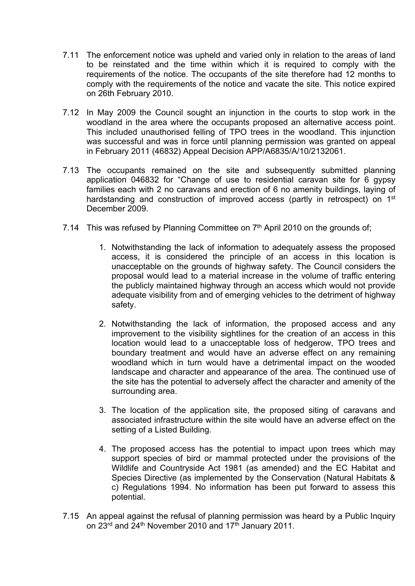- 7.11 The enforcement notice was upheld and varied only in relation to the areas of land to be reinstated and the time within which it is required to comply with the requirements of the notice. The occupants of the site therefore had 12 months to comply with the requirements of the notice and vacate the site. This notice expired on 26th February 2010.
- 7.12 In May 2009 the Council sought an injunction in the courts to stop work in the woodland in the area where the occupants proposed an alternative access point. This included unauthorised felling of TPO trees in the woodland. This injunction was successful and was in force until planning permission was granted on appeal in February 2011 (46832) Appeal Decision APP/A6835/A/10/2132061.
- 7.13 The occupants remained on the site and subsequently submitted planning application 046832 for "Change of use to residential caravan site for 6 gypsy families each with 2 no caravans and erection of 6 no amenity buildings, laying of hardstanding and construction of improved access (partly in retrospect) on 1<sup>st</sup> December 2009.
- 7.14 This was refused by Planning Committee on 7<sup>th</sup> April 2010 on the grounds of;
	- 1. Notwithstanding the lack of information to adequately assess the proposed access, it is considered the principle of an access in this location is unacceptable on the grounds of highway safety. The Council considers the proposal would lead to a material increase in the volume of traffic entering the publicly maintained highway through an access which would not provide adequate visibility from and of emerging vehicles to the detriment of highway safety.
	- 2. Notwithstanding the lack of information, the proposed access and any improvement to the visibility sightlines for the creation of an access in this location would lead to a unacceptable loss of hedgerow, TPO trees and boundary treatment and would have an adverse effect on any remaining woodland which in turn would have a detrimental impact on the wooded landscape and character and appearance of the area. The continued use of the site has the potential to adversely affect the character and amenity of the surrounding area.
	- 3. The location of the application site, the proposed siting of caravans and associated infrastructure within the site would have an adverse effect on the setting of a Listed Building.
	- 4. The proposed access has the potential to impact upon trees which may support species of bird or mammal protected under the provisions of the Wildlife and Countryside Act 1981 (as amended) and the EC Habitat and Species Directive (as implemented by the Conservation (Natural Habitats & c) Regulations 1994. No information has been put forward to assess this potential.
- 7.15 An appeal against the refusal of planning permission was heard by a Public Inquiry on  $23^{\text{rd}}$  and  $24^{\text{th}}$  November 2010 and 17<sup>th</sup> January 2011.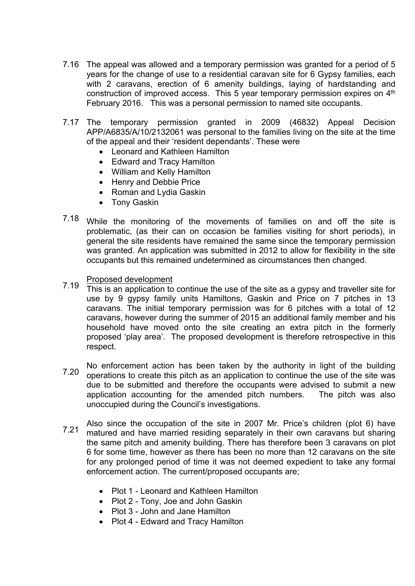- 7.16 The appeal was allowed and a temporary permission was granted for a period of 5 years for the change of use to a residential caravan site for 6 Gypsy families, each with 2 caravans, erection of 6 amenity buildings, laying of hardstanding and construction of improved access. This 5 year temporary permission expires on  $4<sup>th</sup>$ February 2016. This was a personal permission to named site occupants.
- 7.17 The temporary permission granted in 2009 (46832) Appeal Decision APP/A6835/A/10/2132061 was personal to the families living on the site at the time of the appeal and their 'resident dependants'. These were
	- Leonard and Kathleen Hamilton
	- Edward and Tracy Hamilton
	- William and Kelly Hamilton
	- Henry and Debbie Price
	- Roman and Lydia Gaskin
	- Tony Gaskin
- 7.18 While the monitoring of the movements of families on and off the site is problematic, (as their can on occasion be families visiting for short periods), in general the site residents have remained the same since the temporary permission was granted. An application was submitted in 2012 to allow for flexibility in the site occupants but this remained undetermined as circumstances then changed.
	- Proposed development
- 7.19 This is an application to continue the use of the site as a gypsy and traveller site for use by 9 gypsy family units Hamiltons, Gaskin and Price on 7 pitches in 13 caravans. The initial temporary permission was for 6 pitches with a total of 12 caravans, however during the summer of 2015 an additional family member and his household have moved onto the site creating an extra pitch in the formerly proposed 'play area'. The proposed development is therefore retrospective in this respect.
- 7.20 No enforcement action has been taken by the authority in light of the building operations to create this pitch as an application to continue the use of the site was due to be submitted and therefore the occupants were advised to submit a new application accounting for the amended pitch numbers. The pitch was also unoccupied during the Council's investigations.
- 7.21 Also since the occupation of the site in 2007 Mr. Price's children (plot 6) have matured and have married residing separately in their own caravans but sharing the same pitch and amenity building. There has therefore been 3 caravans on plot 6 for some time, however as there has been no more than 12 caravans on the site for any prolonged period of time it was not deemed expedient to take any formal enforcement action. The current/proposed occupants are;
	- Plot 1 Leonard and Kathleen Hamilton
	- Plot 2 Tony, Joe and John Gaskin
	- Plot 3 John and Jane Hamilton
	- Plot 4 Edward and Tracy Hamilton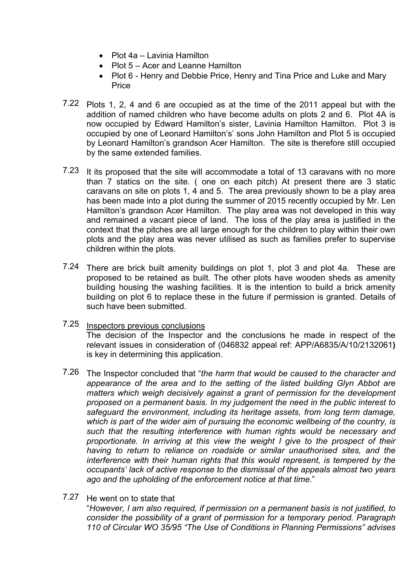- Plot 4a Lavinia Hamilton
- Plot 5 Acer and Leanne Hamilton
- Plot 6 Henry and Debbie Price, Henry and Tina Price and Luke and Mary Price
- 7.22 Plots 1, 2, 4 and 6 are occupied as at the time of the 2011 appeal but with the addition of named children who have become adults on plots 2 and 6. Plot 4A is now occupied by Edward Hamilton's sister, Lavinia Hamilton Hamilton. Plot 3 is occupied by one of Leonard Hamilton's' sons John Hamilton and Plot 5 is occupied by Leonard Hamilton's grandson Acer Hamilton. The site is therefore still occupied by the same extended families.
- 7.23 It its proposed that the site will accommodate a total of 13 caravans with no more than 7 statics on the site. ( one on each pitch) At present there are 3 static caravans on site on plots 1, 4 and 5. The area previously shown to be a play area has been made into a plot during the summer of 2015 recently occupied by Mr. Len Hamilton's grandson Acer Hamilton. The play area was not developed in this way and remained a vacant piece of land. The loss of the play area is justified in the context that the pitches are all large enough for the children to play within their own plots and the play area was never utilised as such as families prefer to supervise children within the plots.
- 7.24 There are brick built amenity buildings on plot 1, plot 3 and plot 4a. These are proposed to be retained as built. The other plots have wooden sheds as amenity building housing the washing facilities. It is the intention to build a brick amenity building on plot 6 to replace these in the future if permission is granted. Details of such have been submitted.
- 7.25 Inspectors previous conclusions The decision of the Inspector and the conclusions he made in respect of the relevant issues in consideration of (046832 appeal ref: APP/A6835/A/10/2132061**)** is key in determining this application.
- 7.26 The Inspector concluded that "*the harm that would be caused to the character and appearance of the area and to the setting of the listed building Glyn Abbot are matters which weigh decisively against a grant of permission for the development proposed on a permanent basis. In my judgement the need in the public interest to safeguard the environment, including its heritage assets, from long term damage, which is part of the wider aim of pursuing the economic wellbeing of the country, is such that the resulting interference with human rights would be necessary and proportionate. In arriving at this view the weight I give to the prospect of their having to return to reliance on roadside or similar unauthorised sites, and the interference with their human rights that this would represent, is tempered by the occupants' lack of active response to the dismissal of the appeals almost two years ago and the upholding of the enforcement notice at that time*."
- 7.27 He went on to state that "*However, I am also required, if permission on a permanent basis is not justified, to consider the possibility of a grant of permission for a temporary period. Paragraph 110 of Circular WO 35/95 "The Use of Conditions in Planning Permissions" advises*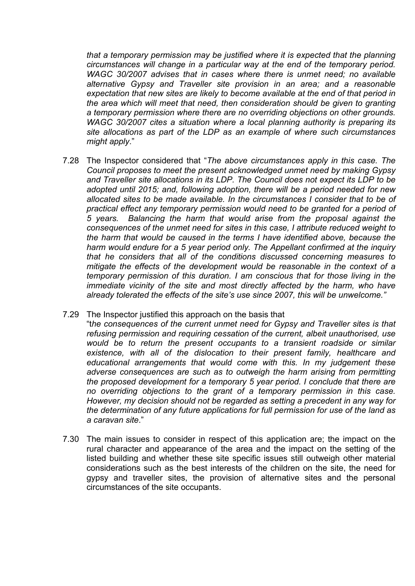*that a temporary permission may be justified where it is expected that the planning circumstances will change in a particular way at the end of the temporary period. WAGC 30/2007 advises that in cases where there is unmet need; no available alternative Gypsy and Traveller site provision in an area; and a reasonable expectation that new sites are likely to become available at the end of that period in the area which will meet that need, then consideration should be given to granting a temporary permission where there are no overriding objections on other grounds. WAGC 30/2007 cites a situation where a local planning authority is preparing its site allocations as part of the LDP as an example of where such circumstances might apply*."

7.28 The Inspector considered that "*The above circumstances apply in this case. The Council proposes to meet the present acknowledged unmet need by making Gypsy and Traveller site allocations in its LDP. The Council does not expect its LDP to be adopted until 2015; and, following adoption, there will be a period needed for new allocated sites to be made available. In the circumstances I consider that to be of practical effect any temporary permission would need to be granted for a period of 5 years. Balancing the harm that would arise from the proposal against the consequences of the unmet need for sites in this case, I attribute reduced weight to the harm that would be caused in the terms I have identified above, because the harm would endure for a 5 year period only. The Appellant confirmed at the inquiry that he considers that all of the conditions discussed concerning measures to mitigate the effects of the development would be reasonable in the context of a temporary permission of this duration. I am conscious that for those living in the immediate vicinity of the site and most directly affected by the harm, who have already tolerated the effects of the site's use since 2007, this will be unwelcome."*

## 7.29 The Inspector justified this approach on the basis that

"t*he consequences of the current unmet need for Gypsy and Traveller sites is that refusing permission and requiring cessation of the current, albeit unauthorised, use would be to return the present occupants to a transient roadside or similar existence, with all of the dislocation to their present family, healthcare and educational arrangements that would come with this. In my judgement these adverse consequences are such as to outweigh the harm arising from permitting the proposed development for a temporary 5 year period. I conclude that there are no overriding objections to the grant of a temporary permission in this case. However, my decision should not be regarded as setting a precedent in any way for the determination of any future applications for full permission for use of the land as a caravan site*."

7.30 The main issues to consider in respect of this application are; the impact on the rural character and appearance of the area and the impact on the setting of the listed building and whether these site specific issues still outweigh other material considerations such as the best interests of the children on the site, the need for gypsy and traveller sites, the provision of alternative sites and the personal circumstances of the site occupants.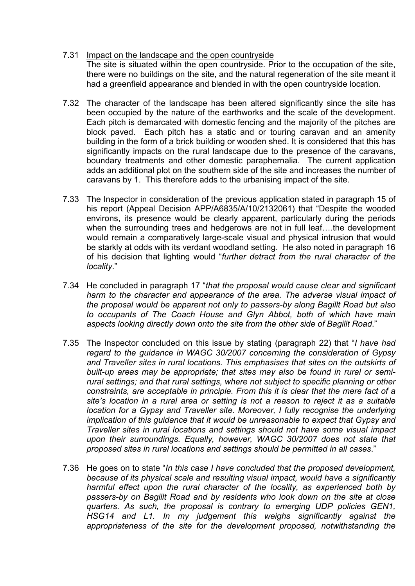- 7.31 Impact on the landscape and the open countryside The site is situated within the open countryside. Prior to the occupation of the site, there were no buildings on the site, and the natural regeneration of the site meant it had a greenfield appearance and blended in with the open countryside location.
- 7.32 The character of the landscape has been altered significantly since the site has been occupied by the nature of the earthworks and the scale of the development. Each pitch is demarcated with domestic fencing and the majority of the pitches are block paved. Each pitch has a static and or touring caravan and an amenity building in the form of a brick building or wooden shed. It is considered that this has significantly impacts on the rural landscape due to the presence of the caravans, boundary treatments and other domestic paraphernalia. The current application adds an additional plot on the southern side of the site and increases the number of caravans by 1. This therefore adds to the urbanising impact of the site.
- 7.33 The Inspector in consideration of the previous application stated in paragraph 15 of his report (Appeal Decision APP/A6835/A/10/2132061) that "Despite the wooded environs, its presence would be clearly apparent, particularly during the periods when the surrounding trees and hedgerows are not in full leaf... the development would remain a comparatively large-scale visual and physical intrusion that would be starkly at odds with its verdant woodland setting. He also noted in paragraph 16 of his decision that lighting would "*further detract from the rural character of the locality*."
- 7.34 He concluded in paragraph 17 "*that the proposal would cause clear and significant harm to the character and appearance of the area. The adverse visual impact of the proposal would be apparent not only to passers-by along Bagillt Road but also to occupants of The Coach House and Glyn Abbot, both of which have main aspects looking directly down onto the site from the other side of Bagillt Road*."
- 7.35 The Inspector concluded on this issue by stating (paragraph 22) that "*I have had regard to the guidance in WAGC 30/2007 concerning the consideration of Gypsy and Traveller sites in rural locations. This emphasises that sites on the outskirts of built-up areas may be appropriate; that sites may also be found in rural or semirural settings; and that rural settings, where not subject to specific planning or other constraints, are acceptable in principle. From this it is clear that the mere fact of a site's location in a rural area or setting is not a reason to reject it as a suitable location for a Gypsy and Traveller site. Moreover, I fully recognise the underlying implication of this guidance that it would be unreasonable to expect that Gypsy and Traveller sites in rural locations and settings should not have some visual impact upon their surroundings. Equally, however, WAGC 30/2007 does not state that proposed sites in rural locations and settings should be permitted in all cases*."
- 7.36 He goes on to state "*In this case I have concluded that the proposed development, because of its physical scale and resulting visual impact, would have a significantly harmful effect upon the rural character of the locality, as experienced both by passers-by on Bagillt Road and by residents who look down on the site at close quarters. As such, the proposal is contrary to emerging UDP policies GEN1, HSG14 and L1. In my judgement this weighs significantly against the appropriateness of the site for the development proposed, notwithstanding the*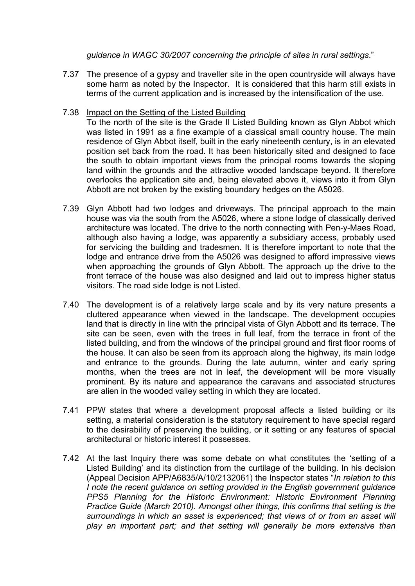*guidance in WAGC 30/2007 concerning the principle of sites in rural settings*."

- 7.37 The presence of a gypsy and traveller site in the open countryside will always have some harm as noted by the Inspector. It is considered that this harm still exists in terms of the current application and is increased by the intensification of the use.
- 7.38 Impact on the Setting of the Listed Building

To the north of the site is the Grade II Listed Building known as Glyn Abbot which was listed in 1991 as a fine example of a classical small country house. The main residence of Glyn Abbot itself, built in the early nineteenth century, is in an elevated position set back from the road. It has been historically sited and designed to face the south to obtain important views from the principal rooms towards the sloping land within the grounds and the attractive wooded landscape beyond. It therefore overlooks the application site and, being elevated above it, views into it from Glyn Abbott are not broken by the existing boundary hedges on the A5026.

- 7.39 Glyn Abbott had two lodges and driveways. The principal approach to the main house was via the south from the A5026, where a stone lodge of classically derived architecture was located. The drive to the north connecting with Pen-y-Maes Road, although also having a lodge, was apparently a subsidiary access, probably used for servicing the building and tradesmen. It is therefore important to note that the lodge and entrance drive from the A5026 was designed to afford impressive views when approaching the grounds of Glyn Abbott. The approach up the drive to the front terrace of the house was also designed and laid out to impress higher status visitors. The road side lodge is not Listed.
- 7.40 The development is of a relatively large scale and by its very nature presents a cluttered appearance when viewed in the landscape. The development occupies land that is directly in line with the principal vista of Glyn Abbott and its terrace. The site can be seen, even with the trees in full leaf, from the terrace in front of the listed building, and from the windows of the principal ground and first floor rooms of the house. It can also be seen from its approach along the highway, its main lodge and entrance to the grounds. During the late autumn, winter and early spring months, when the trees are not in leaf, the development will be more visually prominent. By its nature and appearance the caravans and associated structures are alien in the wooded valley setting in which they are located.
- 7.41 PPW states that where a development proposal affects a listed building or its setting, a material consideration is the statutory requirement to have special regard to the desirability of preserving the building, or it setting or any features of special architectural or historic interest it possesses.
- 7.42 At the last Inquiry there was some debate on what constitutes the 'setting of a Listed Building' and its distinction from the curtilage of the building. In his decision (Appeal Decision APP/A6835/A/10/2132061) the Inspector states "*In relation to this I note the recent guidance on setting provided in the English government guidance PPS5 Planning for the Historic Environment: Historic Environment Planning Practice Guide (March 2010). Amongst other things, this confirms that setting is the surroundings in which an asset is experienced; that views of or from an asset will play an important part; and that setting will generally be more extensive than*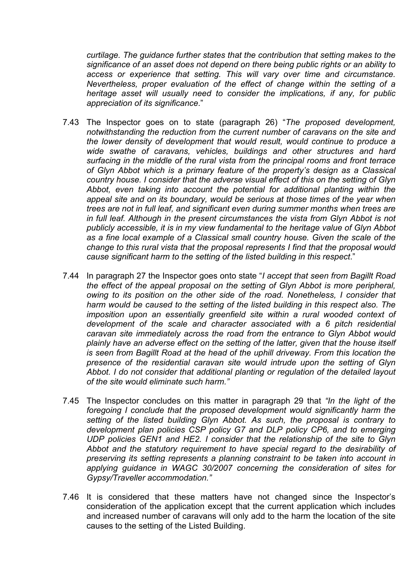*curtilage. The guidance further states that the contribution that setting makes to the significance of an asset does not depend on there being public rights or an ability to access or experience that setting. This will vary over time and circumstance. Nevertheless, proper evaluation of the effect of change within the setting of a heritage asset will usually need to consider the implications, if any, for public appreciation of its significance*."

- 7.43 The Inspector goes on to state (paragraph 26) "*The proposed development, notwithstanding the reduction from the current number of caravans on the site and the lower density of development that would result, would continue to produce a wide swathe of caravans, vehicles, buildings and other structures and hard surfacing in the middle of the rural vista from the principal rooms and front terrace of Glyn Abbot which is a primary feature of the property's design as a Classical country house. I consider that the adverse visual effect of this on the setting of Glyn Abbot, even taking into account the potential for additional planting within the appeal site and on its boundary, would be serious at those times of the year when trees are not in full leaf, and significant even during summer months when trees are in full leaf. Although in the present circumstances the vista from Glyn Abbot is not publicly accessible, it is in my view fundamental to the heritage value of Glyn Abbot as a fine local example of a Classical small country house. Given the scale of the change to this rural vista that the proposal represents I find that the proposal would cause significant harm to the setting of the listed building in this respect*."
- 7.44 In paragraph 27 the Inspector goes onto state "*I accept that seen from Bagillt Road the effect of the appeal proposal on the setting of Glyn Abbot is more peripheral, owing to its position on the other side of the road. Nonetheless, I consider that harm would be caused to the setting of the listed building in this respect also. The imposition upon an essentially greenfield site within a rural wooded context of development of the scale and character associated with a 6 pitch residential caravan site immediately across the road from the entrance to Glyn Abbot would plainly have an adverse effect on the setting of the latter, given that the house itself is seen from Bagillt Road at the head of the uphill driveway. From this location the presence of the residential caravan site would intrude upon the setting of Glyn Abbot. I do not consider that additional planting or regulation of the detailed layout of the site would eliminate such harm."*
- 7.45 The Inspector concludes on this matter in paragraph 29 that *"In the light of the foregoing I conclude that the proposed development would significantly harm the setting of the listed building Glyn Abbot. As such, the proposal is contrary to development plan policies CSP policy G7 and DLP policy CP6, and to emerging UDP policies GEN1 and HE2. I consider that the relationship of the site to Glyn Abbot and the statutory requirement to have special regard to the desirability of preserving its setting represents a planning constraint to be taken into account in applying guidance in WAGC 30/2007 concerning the consideration of sites for Gypsy/Traveller accommodation."*
- 7.46 It is considered that these matters have not changed since the Inspector's consideration of the application except that the current application which includes and increased number of caravans will only add to the harm the location of the site causes to the setting of the Listed Building.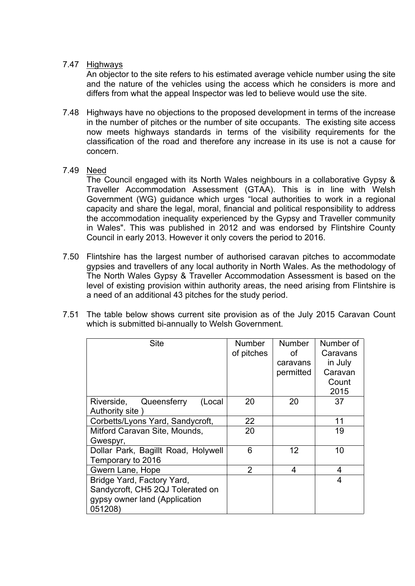7.47 Highways

An objector to the site refers to his estimated average vehicle number using the site and the nature of the vehicles using the access which he considers is more and differs from what the appeal Inspector was led to believe would use the site.

7.48 Highways have no objections to the proposed development in terms of the increase in the number of pitches or the number of site occupants. The existing site access now meets highways standards in terms of the visibility requirements for the classification of the road and therefore any increase in its use is not a cause for concern.

# 7.49 <u>Need</u>

The Council engaged with its North Wales neighbours in a collaborative Gypsy & Traveller Accommodation Assessment (GTAA). This is in line with Welsh Government (WG) guidance which urges "local authorities to work in a regional capacity and share the legal, moral, financial and political responsibility to address the accommodation inequality experienced by the Gypsy and Traveller community in Wales". This was published in 2012 and was endorsed by Flintshire County Council in early 2013. However it only covers the period to 2016.

- 7.50 Flintshire has the largest number of authorised caravan pitches to accommodate gypsies and travellers of any local authority in North Wales. As the methodology of The North Wales Gypsy & Traveller Accommodation Assessment is based on the level of existing provision within authority areas, the need arising from Flintshire is a need of an additional 43 pitches for the study period.
- 7.51 The table below shows current site provision as of the July 2015 Caravan Count which is submitted bi-annually to Welsh Government.

| <b>Site</b>                                                                                                | <b>Number</b><br>of pitches | <b>Number</b><br>οf<br>caravans<br>permitted | Number of<br>Caravans<br>in July<br>Caravan<br>Count<br>2015 |
|------------------------------------------------------------------------------------------------------------|-----------------------------|----------------------------------------------|--------------------------------------------------------------|
| Queensferry<br>(Local<br>Riverside,<br>Authority site)                                                     | 20                          | 20                                           | 37                                                           |
| Corbetts/Lyons Yard, Sandycroft,                                                                           | 22                          |                                              | 11                                                           |
| Mitford Caravan Site, Mounds,<br>Gwespyr,                                                                  | 20                          |                                              | 19                                                           |
| Dollar Park, Bagillt Road, Holywell<br>Temporary to 2016                                                   | 6                           | $12 \overline{ }$                            | 10                                                           |
| Gwern Lane, Hope                                                                                           | $\overline{2}$              | 4                                            | 4                                                            |
| Bridge Yard, Factory Yard,<br>Sandycroft, CH5 2QJ Tolerated on<br>gypsy owner land (Application<br>051208) |                             |                                              | 4                                                            |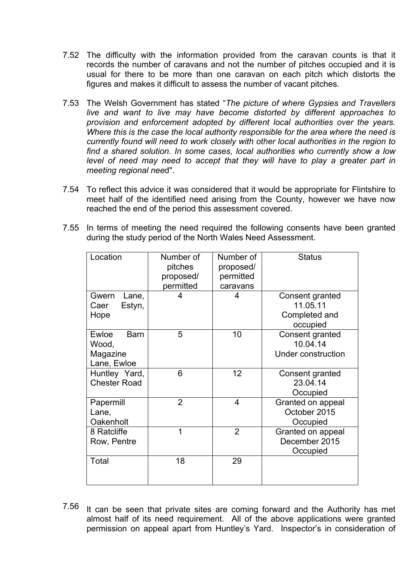- 7.52 The difficulty with the information provided from the caravan counts is that it records the number of caravans and not the number of pitches occupied and it is usual for there to be more than one caravan on each pitch which distorts the figures and makes it difficult to assess the number of vacant pitches.
- 7.53 The Welsh Government has stated "*The picture of where Gypsies and Travellers live and want to live may have become distorted by different approaches to provision and enforcement adopted by different local authorities over the years. Where this is the case the local authority responsible for the area where the need is currently found will need to work closely with other local authorities in the region to find a shared solution. In some cases, local authorities who currently show a low level of need may need to accept that they will have to play a greater part in meeting regional nee*d".
- 7.54 To reflect this advice it was considered that it would be appropriate for Flintshire to meet half of the identified need arising from the County, however we have now reached the end of the period this assessment covered.
- 7.55 In terms of meeting the need required the following consents have been granted during the study period of the North Wales Need Assessment.

| Location                                                 | Number of<br>pitches<br>proposed/<br>permitted | Number of<br>proposed/<br>permitted<br>caravans | <b>Status</b>                                            |
|----------------------------------------------------------|------------------------------------------------|-------------------------------------------------|----------------------------------------------------------|
| Gwern<br>Lane,<br>Estyn,<br>Caer<br>Hope                 | 4                                              | 4                                               | Consent granted<br>11.05.11<br>Completed and<br>occupied |
| Ewloe<br><b>Barn</b><br>Wood,<br>Magazine<br>Lane, Ewloe | 5                                              | 10                                              | Consent granted<br>10.04.14<br><b>Under construction</b> |
| Huntley Yard,<br><b>Chester Road</b>                     | 6                                              | 12                                              | Consent granted<br>23.04.14<br>Occupied                  |
| Papermill<br>Lane,<br>Oakenholt                          | $\overline{2}$                                 | 4                                               | Granted on appeal<br>October 2015<br>Occupied            |
| 8 Ratcliffe<br>Row, Pentre                               | 1                                              | $\overline{2}$                                  | Granted on appeal<br>December 2015<br>Occupied           |
| Total                                                    | 18                                             | 29                                              |                                                          |

7.56 It can be seen that private sites are coming forward and the Authority has met almost half of its need requirement. All of the above applications were granted permission on appeal apart from Huntley's Yard. Inspector's in consideration of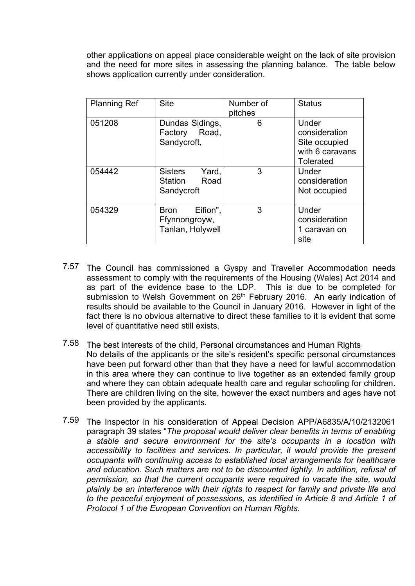other applications on appeal place considerable weight on the lack of site provision and the need for more sites in assessing the planning balance. The table below shows application currently under consideration.

| <b>Planning Ref</b> | <b>Site</b>                                                     | Number of<br>pitches | <b>Status</b>                                                                  |
|---------------------|-----------------------------------------------------------------|----------------------|--------------------------------------------------------------------------------|
| 051208              | Dundas Sidings,<br>Road,<br>Factory<br>Sandycroft,              | 6                    | Under<br>consideration<br>Site occupied<br>with 6 caravans<br><b>Tolerated</b> |
| 054442              | <b>Sisters</b><br>Yard,<br>Road<br><b>Station</b><br>Sandycroft | 3                    | Under<br>consideration<br>Not occupied                                         |
| 054329              | Eifion",<br><b>Bron</b><br>Ffynnongroyw,<br>Tanlan, Holywell    | 3                    | Under<br>consideration<br>1 caravan on<br>site                                 |

- 7.57 The Council has commissioned a Gyspy and Traveller Accommodation needs assessment to comply with the requirements of the Housing (Wales) Act 2014 and as part of the evidence base to the LDP. This is due to be completed for submission to Welsh Government on 26<sup>th</sup> February 2016. An early indication of results should be available to the Council in January 2016. However in light of the fact there is no obvious alternative to direct these families to it is evident that some level of quantitative need still exists.
- 7.58 The best interests of the child, Personal circumstances and Human Rights No details of the applicants or the site's resident's specific personal circumstances have been put forward other than that they have a need for lawful accommodation in this area where they can continue to live together as an extended family group and where they can obtain adequate health care and regular schooling for children. There are children living on the site, however the exact numbers and ages have not been provided by the applicants.
- 7.59 The Inspector in his consideration of Appeal Decision APP/A6835/A/10/2132061 paragraph 39 states "*The proposal would deliver clear benefits in terms of enabling a stable and secure environment for the site's occupants in a location with accessibility to facilities and services. In particular, it would provide the present occupants with continuing access to established local arrangements for healthcare and education. Such matters are not to be discounted lightly. In addition, refusal of permission, so that the current occupants were required to vacate the site, would plainly be an interference with their rights to respect for family and private life and to the peaceful enjoyment of possessions, as identified in Article 8 and Article 1 of Protocol 1 of the European Convention on Human Rights*.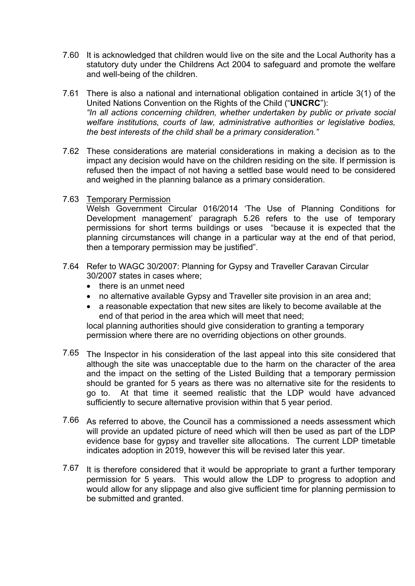- 7.60 It is acknowledged that children would live on the site and the Local Authority has a statutory duty under the Childrens Act 2004 to safeguard and promote the welfare and well-being of the children.
- 7.61 There is also a national and international obligation contained in article 3(1) of the United Nations Convention on the Rights of the Child ("**UNCRC**"): *"In all actions concerning children, whether undertaken by public or private social welfare institutions, courts of law, administrative authorities or legislative bodies, the best interests of the child shall be a primary consideration."*
- 7.62 These considerations are material considerations in making a decision as to the impact any decision would have on the children residing on the site. If permission is refused then the impact of not having a settled base would need to be considered and weighed in the planning balance as a primary consideration.
- 7.63 Temporary Permission

Welsh Government Circular 016/2014 'The Use of Planning Conditions for Development management' paragraph 5.26 refers to the use of temporary permissions for short terms buildings or uses "because it is expected that the planning circumstances will change in a particular way at the end of that period, then a temporary permission may be justified".

- 7.64 Refer to WAGC 30/2007: Planning for Gypsy and Traveller Caravan Circular 30/2007 states in cases where;
	- there is an unmet need
	- no alternative available Gypsy and Traveller site provision in an area and;
	- a reasonable expectation that new sites are likely to become available at the end of that period in the area which will meet that need;

local planning authorities should give consideration to granting a temporary permission where there are no overriding objections on other grounds.

- 7.65 The Inspector in his consideration of the last appeal into this site considered that although the site was unacceptable due to the harm on the character of the area and the impact on the setting of the Listed Building that a temporary permission should be granted for 5 years as there was no alternative site for the residents to go to. At that time it seemed realistic that the LDP would have advanced sufficiently to secure alternative provision within that 5 year period.
- 7.66 As referred to above, the Council has a commissioned a needs assessment which will provide an updated picture of need which will then be used as part of the LDP evidence base for gypsy and traveller site allocations. The current LDP timetable indicates adoption in 2019, however this will be revised later this year.
- 7.67 It is therefore considered that it would be appropriate to grant a further temporary permission for 5 years. This would allow the LDP to progress to adoption and would allow for any slippage and also give sufficient time for planning permission to be submitted and granted.